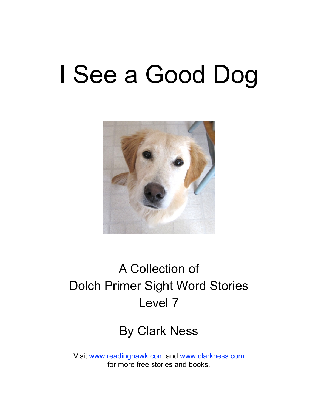# I See a Good Dog



### A Collection of Dolch Primer Sight Word Stories Level 7

### By Clark Ness

Visit [www.readinghawk.com](http://www.readinghawk.com) and [www.clarkness.com](http://www.clarkness.com) for more free stories and books.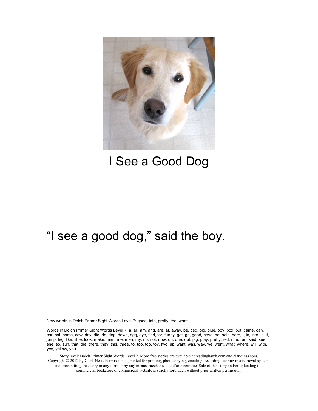

### I See a Good Dog

### "I see a good dog," said the boy.

New words in Dolch Primer Sight Words Level 7: good, into, pretty, too, want

Words in Dolch Primer Sight Words Level 7: a, all, am, and, are, at, away, be, bed, big, blue, boy, box, but, came, can, car, cat, come, cow, day, did, do, dog, down, egg, eye, find, for, funny, get, go, good, have, he, help, here, I, in, into, is, it, jump, leg, like, little, look, make, man, me, men, my, no, not, now, on, one, out, pig, play, pretty, red, ride, run, said, see, she, so, sun, that, the, there, they, this, three, to, too, top, toy, two, up, want, was, way, we, went, what, where, will, with, yes, yellow, you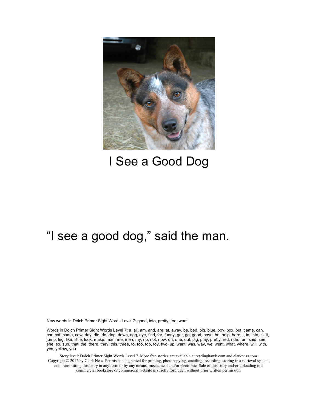

### I See a Good Dog

### "I see a good dog," said the man.

New words in Dolch Primer Sight Words Level 7: good, into, pretty, too, want

Words in Dolch Primer Sight Words Level 7: a, all, am, and, are, at, away, be, bed, big, blue, boy, box, but, came, can, car, cat, come, cow, day, did, do, dog, down, egg, eye, find, for, funny, get, go, good, have, he, help, here, I, in, into, is, it, jump, leg, like, little, look, make, man, me, men, my, no, not, now, on, one, out, pig, play, pretty, red, ride, run, said, see, she, so, sun, that, the, there, they, this, three, to, too, top, toy, two, up, want, was, way, we, went, what, where, will, with, yes, yellow, you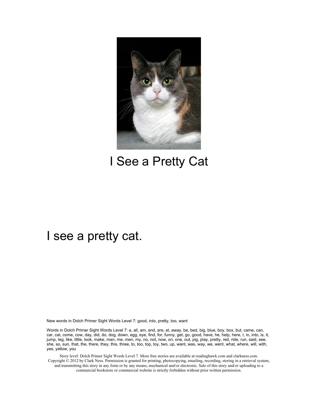

### I See a Pretty Cat

### I see a pretty cat.

New words in Dolch Primer Sight Words Level 7: good, into, pretty, too, want

Words in Dolch Primer Sight Words Level 7: a, all, am, and, are, at, away, be, bed, big, blue, boy, box, but, came, can, car, cat, come, cow, day, did, do, dog, down, egg, eye, find, for, funny, get, go, good, have, he, help, here, I, in, into, is, it, jump, leg, like, little, look, make, man, me, men, my, no, not, now, on, one, out, pig, play, pretty, red, ride, run, said, see, she, so, sun, that, the, there, they, this, three, to, too, top, toy, two, up, want, was, way, we, went, what, where, will, with, yes, yellow, you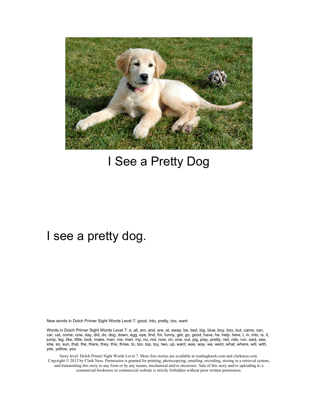

### I See a Pretty Dog

### I see a pretty dog.

New words in Dolch Primer Sight Words Level 7: good, into, pretty, too, want

Words in Dolch Primer Sight Words Level 7: a, all, am, and, are, at, away, be, bed, big, blue, boy, box, but, came, can, car, cat, come, cow, day, did, do, dog, down, egg, eye, find, for, funny, get, go, good, have, he, help, here, I, in, into, is, it, jump, leg, like, little, look, make, man, me, men, my, no, not, now, on, one, out, pig, play, pretty, red, ride, run, said, see, she, so, sun, that, the, there, they, this, three, to, too, top, toy, two, up, want, was, way, we, went, what, where, will, with, yes, yellow, you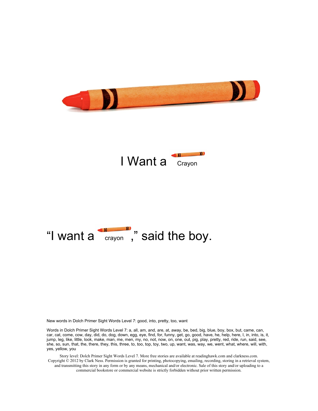





New words in Dolch Primer Sight Words Level 7: good, into, pretty, too, want

Words in Dolch Primer Sight Words Level 7: a, all, am, and, are, at, away, be, bed, big, blue, boy, box, but, came, can, car, cat, come, cow, day, did, do, dog, down, egg, eye, find, for, funny, get, go, good, have, he, help, here, I, in, into, is, it, jump, leg, like, little, look, make, man, me, men, my, no, not, now, on, one, out, pig, play, pretty, red, ride, run, said, see, she, so, sun, that, the, there, they, this, three, to, too, top, toy, two, up, want, was, way, we, went, what, where, will, with, yes, yellow, you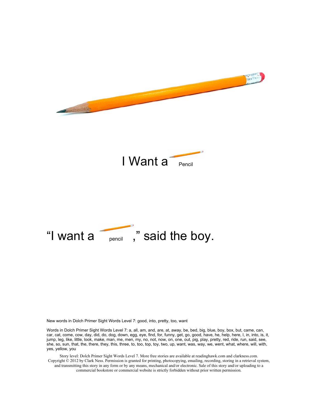

New words in Dolch Primer Sight Words Level 7: good, into, pretty, too, want

Words in Dolch Primer Sight Words Level 7: a, all, am, and, are, at, away, be, bed, big, blue, boy, box, but, came, can, car, cat, come, cow, day, did, do, dog, down, egg, eye, find, for, funny, get, go, good, have, he, help, here, I, in, into, is, it, jump, leg, like, little, look, make, man, me, men, my, no, not, now, on, one, out, pig, play, pretty, red, ride, run, said, see, she, so, sun, that, the, there, they, this, three, to, too, top, toy, two, up, want, was, way, we, went, what, where, will, with, yes, yellow, you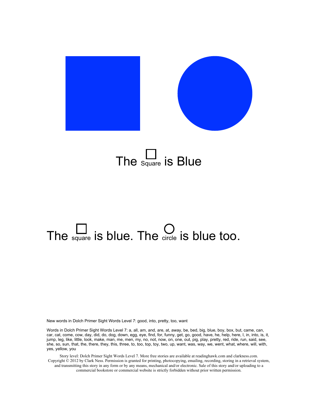

### The  $\Box$  is Blue

## The  $\square$  is blue. The  $\square$  is blue too.

New words in Dolch Primer Sight Words Level 7: good, into, pretty, too, want

Words in Dolch Primer Sight Words Level 7: a, all, am, and, are, at, away, be, bed, big, blue, boy, box, but, came, can, car, cat, come, cow, day, did, do, dog, down, egg, eye, find, for, funny, get, go, good, have, he, help, here, I, in, into, is, it, jump, leg, like, little, look, make, man, me, men, my, no, not, now, on, one, out, pig, play, pretty, red, ride, run, said, see, she, so, sun, that, the, there, they, this, three, to, too, top, toy, two, up, want, was, way, we, went, what, where, will, with, yes, yellow, you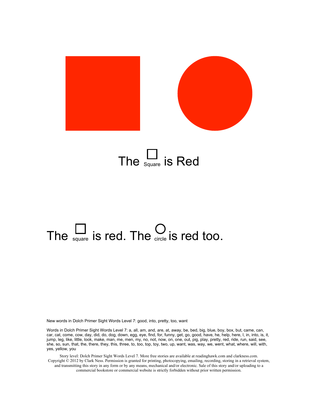

### The  $S_{\text{square}}$  is Red

# The  $\sum_{\text{square}}$  is red. The  $\sum_{\text{circle}}$  is red too.

New words in Dolch Primer Sight Words Level 7: good, into, pretty, too, want

Words in Dolch Primer Sight Words Level 7: a, all, am, and, are, at, away, be, bed, big, blue, boy, box, but, came, can, car, cat, come, cow, day, did, do, dog, down, egg, eye, find, for, funny, get, go, good, have, he, help, here, I, in, into, is, it, jump, leg, like, little, look, make, man, me, men, my, no, not, now, on, one, out, pig, play, pretty, red, ride, run, said, see, she, so, sun, that, the, there, they, this, three, to, too, top, toy, two, up, want, was, way, we, went, what, where, will, with, yes, yellow, you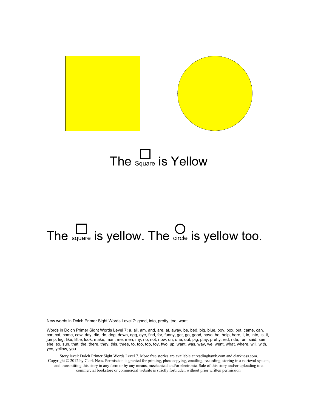

### The  $\frac{L}{\text{Square}}$  is Yellow

# The  $\square$  is yellow. The  $\square$  is yellow too.

New words in Dolch Primer Sight Words Level 7: good, into, pretty, too, want

Words in Dolch Primer Sight Words Level 7: a, all, am, and, are, at, away, be, bed, big, blue, boy, box, but, came, can, car, cat, come, cow, day, did, do, dog, down, egg, eye, find, for, funny, get, go, good, have, he, help, here, I, in, into, is, it, jump, leg, like, little, look, make, man, me, men, my, no, not, now, on, one, out, pig, play, pretty, red, ride, run, said, see, she, so, sun, that, the, there, they, this, three, to, too, top, toy, two, up, want, was, way, we, went, what, where, will, with, yes, yellow, you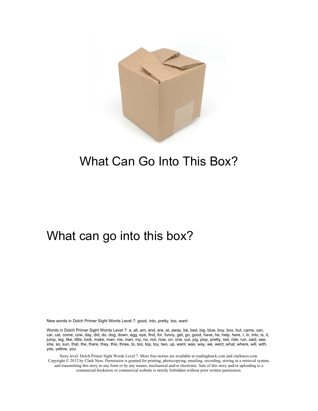

### What Can Go Into This Box?

#### What can go into this box?

New words in Dolch Primer Sight Words Level 7: good, into, pretty, too, want

Words in Dolch Primer Sight Words Level 7: a, all, am, and, are, at, away, be, bed, big, blue, boy, box, but, came, can, car, cat, come, cow, day, did, do, dog, down, egg, eye, find, for, funny, get, go, good, have, he, help, here, I, in, into, is, it, jump, leg, like, little, look, make, man, me, men, my, no, not, now, on, one, out, pig, play, pretty, red, ride, run, said, see, she, so, sun, that, the, there, they, this, three, to, too, top, toy, two, up, want, was, way, we, went, what, where, will, with, yes, yellow, you